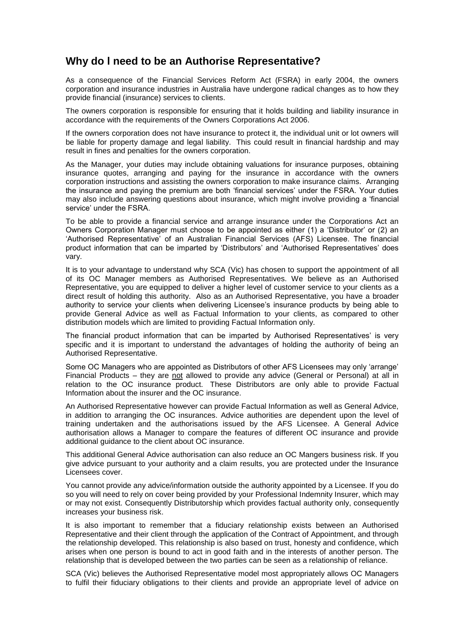## **Why do l need to be an Authorise Representative?**

As a consequence of the Financial Services Reform Act (FSRA) in early 2004, the owners corporation and insurance industries in Australia have undergone radical changes as to how they provide financial (insurance) services to clients.

The owners corporation is responsible for ensuring that it holds building and liability insurance in accordance with the requirements of the Owners Corporations Act 2006.

If the owners corporation does not have insurance to protect it, the individual unit or lot owners will be liable for property damage and legal liability. This could result in financial hardship and may result in fines and penalties for the owners corporation.

As the Manager, your duties may include obtaining valuations for insurance purposes, obtaining insurance quotes, arranging and paying for the insurance in accordance with the owners corporation instructions and assisting the owners corporation to make insurance claims. Arranging the insurance and paying the premium are both 'financial services' under the FSRA. Your duties may also include answering questions about insurance, which might involve providing a 'financial service' under the FSRA.

To be able to provide a financial service and arrange insurance under the Corporations Act an Owners Corporation Manager must choose to be appointed as either (1) a 'Distributor' or (2) an 'Authorised Representative' of an Australian Financial Services (AFS) Licensee. The financial product information that can be imparted by 'Distributors' and 'Authorised Representatives' does vary.

It is to your advantage to understand why SCA (Vic) has chosen to support the appointment of all of its OC Manager members as Authorised Representatives. We believe as an Authorised Representative, you are equipped to deliver a higher level of customer service to your clients as a direct result of holding this authority. Also as an Authorised Representative, you have a broader authority to service your clients when delivering Licensee's insurance products by being able to provide General Advice as well as Factual Information to your clients, as compared to other distribution models which are limited to providing Factual Information only.

The financial product information that can be imparted by Authorised Representatives' is very specific and it is important to understand the advantages of holding the authority of being an Authorised Representative.

Some OC Managers who are appointed as Distributors of other AFS Licensees may only 'arrange' Financial Products – they are not allowed to provide any advice (General or Personal) at all in relation to the OC insurance product. These Distributors are only able to provide Factual Information about the insurer and the OC insurance.

An Authorised Representative however can provide Factual Information as well as General Advice, in addition to arranging the OC insurances. Advice authorities are dependent upon the level of training undertaken and the authorisations issued by the AFS Licensee. A General Advice authorisation allows a Manager to compare the features of different OC insurance and provide additional guidance to the client about OC insurance.

This additional General Advice authorisation can also reduce an OC Mangers business risk. If you give advice pursuant to your authority and a claim results, you are protected under the Insurance Licensees cover.

You cannot provide any advice/information outside the authority appointed by a Licensee. If you do so you will need to rely on cover being provided by your Professional Indemnity Insurer, which may or may not exist. Consequently Distributorship which provides factual authority only, consequently increases your business risk.

It is also important to remember that a fiduciary relationship exists between an Authorised Representative and their client through the application of the Contract of Appointment, and through the relationship developed. This relationship is also based on trust, honesty and confidence, which arises when one person is bound to act in good faith and in the interests of another person. The relationship that is developed between the two parties can be seen as a relationship of reliance.

SCA (Vic) believes the Authorised Representative model most appropriately allows OC Managers to fulfil their fiduciary obligations to their clients and provide an appropriate level of advice on